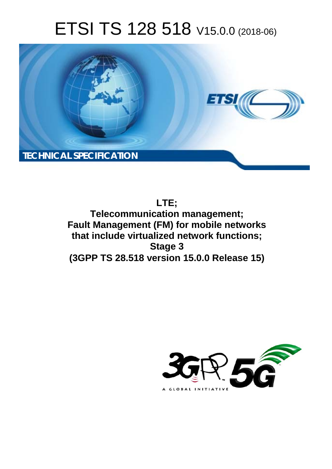# ETSI TS 128 518 V15.0.0 (2018-06)



**LTE; Telecommunication management; Fault Management (FM) for mobile networks that include virtualized network functions; Stage 3 (3GPP TS 28.518 version 15.0.0 Release 15)** 

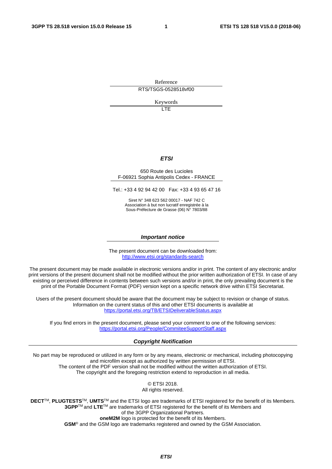Reference RTS/TSGS-0528518vf00

Keywords

LTE

#### *ETSI*

#### 650 Route des Lucioles F-06921 Sophia Antipolis Cedex - FRANCE

Tel.: +33 4 92 94 42 00 Fax: +33 4 93 65 47 16

Siret N° 348 623 562 00017 - NAF 742 C Association à but non lucratif enregistrée à la Sous-Préfecture de Grasse (06) N° 7803/88

#### *Important notice*

The present document can be downloaded from: <http://www.etsi.org/standards-search>

The present document may be made available in electronic versions and/or in print. The content of any electronic and/or print versions of the present document shall not be modified without the prior written authorization of ETSI. In case of any existing or perceived difference in contents between such versions and/or in print, the only prevailing document is the print of the Portable Document Format (PDF) version kept on a specific network drive within ETSI Secretariat.

Users of the present document should be aware that the document may be subject to revision or change of status. Information on the current status of this and other ETSI documents is available at <https://portal.etsi.org/TB/ETSIDeliverableStatus.aspx>

If you find errors in the present document, please send your comment to one of the following services: <https://portal.etsi.org/People/CommiteeSupportStaff.aspx>

#### *Copyright Notification*

No part may be reproduced or utilized in any form or by any means, electronic or mechanical, including photocopying and microfilm except as authorized by written permission of ETSI. The content of the PDF version shall not be modified without the written authorization of ETSI. The copyright and the foregoing restriction extend to reproduction in all media.

> © ETSI 2018. All rights reserved.

**DECT**TM, **PLUGTESTS**TM, **UMTS**TM and the ETSI logo are trademarks of ETSI registered for the benefit of its Members. **3GPP**TM and **LTE**TM are trademarks of ETSI registered for the benefit of its Members and of the 3GPP Organizational Partners. **oneM2M** logo is protected for the benefit of its Members.

**GSM**® and the GSM logo are trademarks registered and owned by the GSM Association.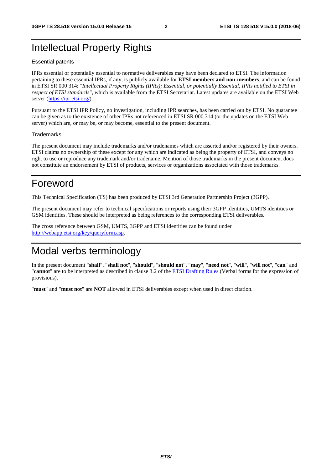## Intellectual Property Rights

#### Essential patents

IPRs essential or potentially essential to normative deliverables may have been declared to ETSI. The information pertaining to these essential IPRs, if any, is publicly available for **ETSI members and non-members**, and can be found in ETSI SR 000 314: *"Intellectual Property Rights (IPRs); Essential, or potentially Essential, IPRs notified to ETSI in respect of ETSI standards"*, which is available from the ETSI Secretariat. Latest updates are available on the ETSI Web server ([https://ipr.etsi.org/\)](https://ipr.etsi.org/).

Pursuant to the ETSI IPR Policy, no investigation, including IPR searches, has been carried out by ETSI. No guarantee can be given as to the existence of other IPRs not referenced in ETSI SR 000 314 (or the updates on the ETSI Web server) which are, or may be, or may become, essential to the present document.

#### **Trademarks**

The present document may include trademarks and/or tradenames which are asserted and/or registered by their owners. ETSI claims no ownership of these except for any which are indicated as being the property of ETSI, and conveys no right to use or reproduce any trademark and/or tradename. Mention of those trademarks in the present document does not constitute an endorsement by ETSI of products, services or organizations associated with those trademarks.

## Foreword

This Technical Specification (TS) has been produced by ETSI 3rd Generation Partnership Project (3GPP).

The present document may refer to technical specifications or reports using their 3GPP identities, UMTS identities or GSM identities. These should be interpreted as being references to the corresponding ETSI deliverables.

The cross reference between GSM, UMTS, 3GPP and ETSI identities can be found under [http://webapp.etsi.org/key/queryform.asp.](http://webapp.etsi.org/key/queryform.asp)

## Modal verbs terminology

In the present document "**shall**", "**shall not**", "**should**", "**should not**", "**may**", "**need not**", "**will**", "**will not**", "**can**" and "**cannot**" are to be interpreted as described in clause 3.2 of the [ETSI Drafting Rules](https://portal.etsi.org/Services/editHelp!/Howtostart/ETSIDraftingRules.aspx) (Verbal forms for the expression of provisions).

"**must**" and "**must not**" are **NOT** allowed in ETSI deliverables except when used in direct citation.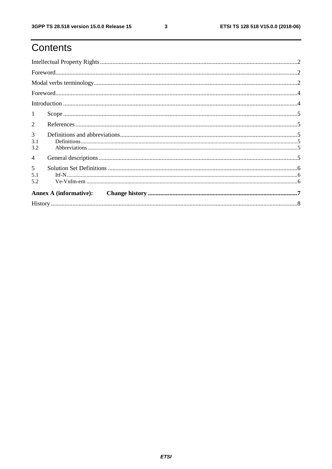## Contents

| 1                                                                                                                                                                                                                                                                                                                                                                                                                                                                                                                         |  |  |  |  |  |
|---------------------------------------------------------------------------------------------------------------------------------------------------------------------------------------------------------------------------------------------------------------------------------------------------------------------------------------------------------------------------------------------------------------------------------------------------------------------------------------------------------------------------|--|--|--|--|--|
| $References \hspace*{20pt} . \hspace*{20pt} . \hspace*{20pt} . \hspace*{20pt} . \hspace*{20pt} . \hspace*{20pt} . \hspace*{20pt} . \hspace*{20pt} . \hspace*{20pt} . \hspace*{20pt} . \hspace*{20pt} . \hspace*{20pt} . \hspace*{20pt} . \hspace*{20pt} . \hspace*{20pt} . \hspace*{20pt} . \hspace*{20pt} . \hspace*{20pt} . \hspace*{20pt} . \hspace*{20pt} . \hspace*{20pt} . \hspace*{20pt}$<br>$\overline{2}$                                                                                                        |  |  |  |  |  |
| 3<br>$\textbf{Definitions} \textcolor{red}{\textbf{15}} \textcolor{red}{\textbf{.16}} \textcolor{red}{\textbf{.17}} \textcolor{red}{\textbf{.17}} \textcolor{red}{\textbf{.17}} \textcolor{red}{\textbf{.17}} \textcolor{red}{\textbf{.17}} \textcolor{red}{\textbf{.17}} \textcolor{red}{\textbf{.17}} \textcolor{red}{\textbf{.17}} \textcolor{red}{\textbf{.17}} \textcolor{red}{\textbf{.17}} \textcolor{red}{\textbf{.17}} \textcolor{red}{\textbf{.17}} \textcolor{red}{\textbf{.17}} \textcolor{red$<br>3.1<br>3.2 |  |  |  |  |  |
| $\overline{4}$                                                                                                                                                                                                                                                                                                                                                                                                                                                                                                            |  |  |  |  |  |
| $5\overline{)}$<br>$Itf-N\dots 1.15$<br>5.1<br>5.2                                                                                                                                                                                                                                                                                                                                                                                                                                                                        |  |  |  |  |  |
|                                                                                                                                                                                                                                                                                                                                                                                                                                                                                                                           |  |  |  |  |  |
|                                                                                                                                                                                                                                                                                                                                                                                                                                                                                                                           |  |  |  |  |  |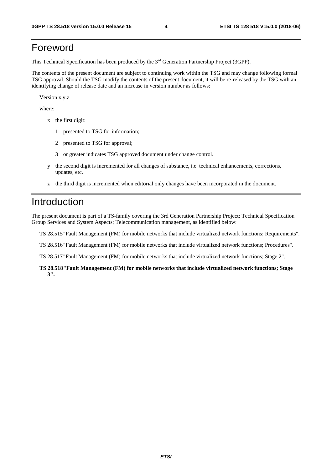## Foreword

This Technical Specification has been produced by the 3rd Generation Partnership Project (3GPP).

The contents of the present document are subject to continuing work within the TSG and may change following formal TSG approval. Should the TSG modify the contents of the present document, it will be re-released by the TSG with an identifying change of release date and an increase in version number as follows:

Version x.y.z

where:

- x the first digit:
	- 1 presented to TSG for information;
	- 2 presented to TSG for approval;
	- 3 or greater indicates TSG approved document under change control.
- y the second digit is incremented for all changes of substance, i.e. technical enhancements, corrections, updates, etc.
- z the third digit is incremented when editorial only changes have been incorporated in the document.

## Introduction

The present document is part of a TS-family covering the 3rd Generation Partnership Project; Technical Specification Group Services and System Aspects; Telecommunication management, as identified below:

TS 28.515 "Fault Management (FM) for mobile networks that include virtualized network functions; Requirements".

TS 28.516 "Fault Management (FM) for mobile networks that include virtualized network functions; Procedures".

TS 28.517 "Fault Management (FM) for mobile networks that include virtualized network functions; Stage 2".

#### **TS 28.518 "Fault Management (FM) for mobile networks that include virtualized network functions; Stage 3".**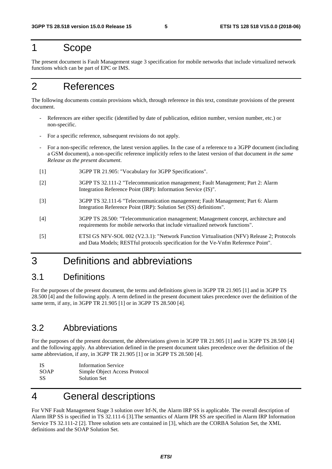## 1 Scope

The present document is Fault Management stage 3 specification for mobile networks that include virtualized network functions which can be part of EPC or IMS.

## 2 References

The following documents contain provisions which, through reference in this text, constitute provisions of the present document.

- References are either specific (identified by date of publication, edition number, version number, etc.) or non-specific.
- For a specific reference, subsequent revisions do not apply.
- For a non-specific reference, the latest version applies. In the case of a reference to a 3GPP document (including a GSM document), a non-specific reference implicitly refers to the latest version of that document *in the same Release as the present document*.
- [1] 3GPP TR 21.905: "Vocabulary for 3GPP Specifications".
- [2] 3GPP TS 32.111-2 "Telecommunication management; Fault Management; Part 2: Alarm Integration Reference Point (IRP): Information Service (IS)".
- [3] 3GPP TS 32.111-6 "Telecommunication management; Fault Management; Part 6: Alarm Integration Reference Point (IRP): Solution Set (SS) definitions".
- [4] 3GPP TS 28.500: "Telecommunication management; Management concept, architecture and requirements for mobile networks that include virtualized network functions".
- [5] ETSI GS NFV-SOL 002 (V2.3.1): "Network Function Virtualisation (NFV) Release 2; Protocols and Data Models; RESTful protocols specification for the Ve-Vnfm Reference Point".

## 3 Definitions and abbreviations

### 3.1 Definitions

For the purposes of the present document, the terms and definitions given in 3GPP TR 21.905 [1] and in 3GPP TS 28.500 [4] and the following apply. A term defined in the present document takes precedence over the definition of the same term, if any, in 3GPP TR 21.905 [1] or in 3GPP TS 28.500 [4].

### 3.2 Abbreviations

For the purposes of the present document, the abbreviations given in 3GPP TR 21.905 [1] and in 3GPP TS 28.500 [4] and the following apply. An abbreviation defined in the present document takes precedence over the definition of the same abbreviation, if any, in 3GPP TR 21.905 [1] or in 3GPP TS 28.500 [4].

| -IS         | <b>Information Service</b>    |
|-------------|-------------------------------|
| <b>SOAP</b> | Simple Object Access Protocol |
| -SS         | <b>Solution Set</b>           |

## 4 General descriptions

For VNF Fault Management Stage 3 solution over Itf-N, the Alarm IRP SS is applicable. The overall description of Alarm IRP SS is specified in TS 32.111-6 [3].The semantics of Alarm IPR SS are specified in Alarm IRP Information Service TS 32.111-2 [2]. Three solution sets are contained in [3], which are the CORBA Solution Set, the XML definitions and the SOAP Solution Set.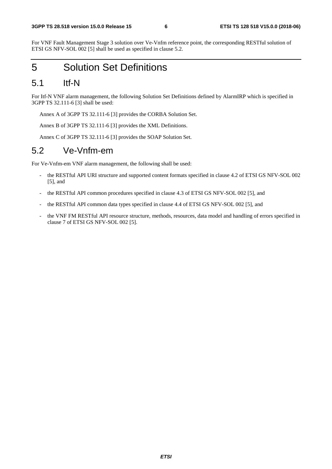For VNF Fault Management Stage 3 solution over Ve-Vnfm reference point, the corresponding RESTful solution of ETSI GS NFV-SOL 002 [5] shall be used as specified in clause 5.2.

## 5 Solution Set Definitions

### 5.1 Itf-N

For Itf-N VNF alarm management, the following Solution Set Definitions defined by AlarmIRP which is specified in 3GPP TS 32.111-6 [3] shall be used:

Annex A of 3GPP TS 32.111-6 [3] provides the CORBA Solution Set.

Annex B of 3GPP TS 32.111-6 [3] provides the XML Definitions.

Annex C of 3GPP TS 32.111-6 [3] provides the SOAP Solution Set.

### 5.2 Ve-Vnfm-em

For Ve-Vnfm-em VNF alarm management, the following shall be used:

- the RESTful API URI structure and supported content formats specified in clause 4.2 of ETSI GS NFV-SOL 002 [5], and
- the RESTful API common procedures specified in clause 4.3 of ETSI GS NFV-SOL 002 [5], and
- the RESTful API common data types specified in clause 4.4 of ETSI GS NFV-SOL 002 [5], and
- the VNF FM RESTful API resource structure, methods, resources, data model and handling of errors specified in clause 7 of ETSI GS NFV-SOL 002 [5].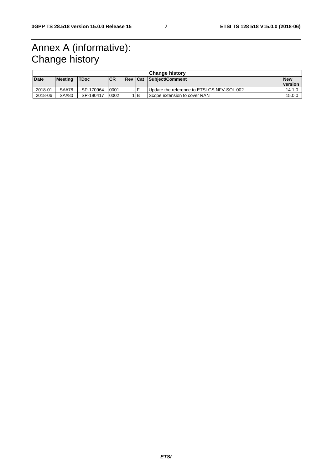## Annex A (informative): Change history

| <b>Change history</b> |                |             |            |            |     |                                             |                  |
|-----------------------|----------------|-------------|------------|------------|-----|---------------------------------------------|------------------|
| <b>Date</b>           | <b>Meeting</b> | <b>TDoc</b> | <b>ICR</b> | <b>Rev</b> | Cat | Subject/Comment                             | <b>New</b>       |
|                       |                |             |            |            |     |                                             | <u>I</u> version |
| 2018-01               | SA#78          | SP-170964   | 0001       |            |     | Update the reference to ETSI GS NFV-SOL 002 | 14.1.0           |
| 2018-06               | SA#80          | SP-180417   | 0002       |            | IB. | Scope extension to cover RAN                | 15.0.0           |